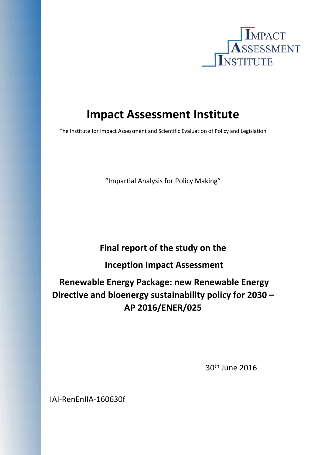

# **Impact Assessment Institute**

The Institute for Impact Assessment and Scientific Evaluation of Policy and Legislation

"Impartial Analysis for Policy Making"

# **Final report of the study on the**

 **Inception Impact Assessment** 

# **Renewable Energy Package: new Renewable Energy Directive and bioenergy sustainability policy for 2030 – AP 2016/ENER/025**

 30th June 2016

IAI‐RenEnIIA‐160630f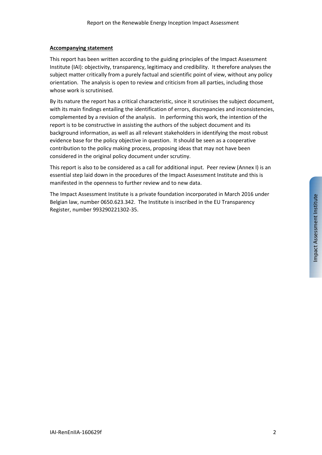#### **Accompanying statement**

This report has been written according to the guiding principles of the Impact Assessment Institute (IAI): objectivity, transparency, legitimacy and credibility. It therefore analyses the subject matter critically from a purely factual and scientific point of view, without any policy orientation. The analysis is open to review and criticism from all parties, including those whose work is scrutinised.

By its nature the report has a critical characteristic, since it scrutinises the subject document, with its main findings entailing the identification of errors, discrepancies and inconsistencies, complemented by a revision of the analysis. In performing this work, the intention of the report is to be constructive in assisting the authors of the subject document and its background information, as well as all relevant stakeholders in identifying the most robust evidence base for the policy objective in question. It should be seen as a cooperative contribution to the policy making process, proposing ideas that may not have been considered in the original policy document under scrutiny.

This report is also to be considered as a call for additional input. Peer review (Annex I) is an essential step laid down in the procedures of the Impact Assessment Institute and this is manifested in the openness to further review and to new data.

The Impact Assessment Institute is a private foundation incorporated in March 2016 under Belgian law, number 0650.623.342. The Institute is inscribed in the EU Transparency Register, number 993290221302‐35.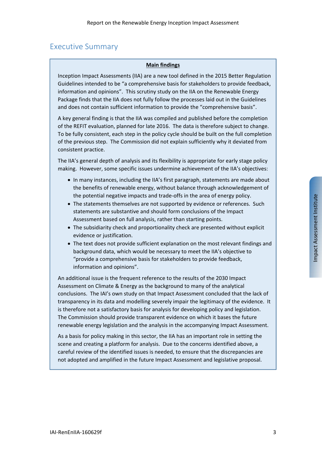# Executive Summary

#### **Main findings**

Inception Impact Assessments (IIA) are a new tool defined in the 2015 Better Regulation Guidelines intended to be "a comprehensive basis for stakeholders to provide feedback, information and opinions". This scrutiny study on the IIA on the Renewable Energy Package finds that the IIA does not fully follow the processes laid out in the Guidelines and does not contain sufficient information to provide the "comprehensive basis".

A key general finding is that the IIA was compiled and published before the completion of the REFIT evaluation, planned for late 2016. The data is therefore subject to change. To be fully consistent, each step in the policy cycle should be built on the full completion of the previous step. The Commission did not explain sufficiently why it deviated from consistent practice.

The IIA's general depth of analysis and its flexibility is appropriate for early stage policy making. However, some specific issues undermine achievement of the IIA's objectives:

- In many instances, including the IIA's first paragraph, statements are made about the benefits of renewable energy, without balance through acknowledgement of the potential negative impacts and trade‐offs in the area of energy policy.
- The statements themselves are not supported by evidence or references. Such statements are substantive and should form conclusions of the Impact Assessment based on full analysis, rather than starting points.
- The subsidiarity check and proportionality check are presented without explicit evidence or justification.
- The text does not provide sufficient explanation on the most relevant findings and background data, which would be necessary to meet the IIA's objective to "provide a comprehensive basis for stakeholders to provide feedback, information and opinions".

An additional issue is the frequent reference to the results of the 2030 Impact Assessment on Climate & Energy as the background to many of the analytical conclusions. The IAI's own study on that Impact Assessment concluded that the lack of transparency in its data and modelling severely impair the legitimacy of the evidence. It is therefore not a satisfactory basis for analysis for developing policy and legislation. The Commission should provide transparent evidence on which it bases the future renewable energy legislation and the analysis in the accompanying Impact Assessment.

As a basis for policy making in this sector, the IIA has an important role in setting the scene and creating a platform for analysis. Due to the concerns identified above, a careful review of the identified issues is needed, to ensure that the discrepancies are not adopted and amplified in the future Impact Assessment and legislative proposal.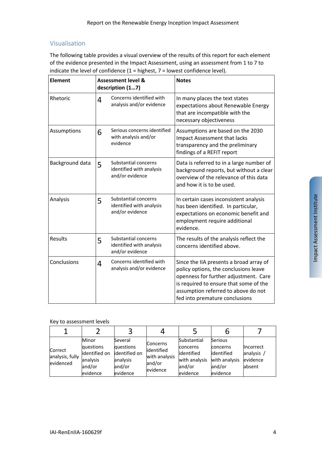### Visualisation

The following table provides a visual overview of the results of this report for each element of the evidence presented in the Impact Assessment, using an assessment from 1 to 7 to indicate the level of confidence  $(1 =$  highest,  $7 =$  lowest confidence level).

| <b>Element</b>  |   | <b>Assessment level &amp;</b><br>description (17)                   | <b>Notes</b>                                                                                                                                                                                                                                 |  |  |
|-----------------|---|---------------------------------------------------------------------|----------------------------------------------------------------------------------------------------------------------------------------------------------------------------------------------------------------------------------------------|--|--|
| Rhetoric        | 4 | Concerns identified with<br>analysis and/or evidence                | In many places the text states<br>expectations about Renewable Energy<br>that are incompatible with the<br>necessary objectiveness                                                                                                           |  |  |
| Assumptions     | 6 | Serious concerns identified<br>with analysis and/or<br>evidence     | Assumptions are based on the 2030<br>Impact Assessment that lacks<br>transparency and the preliminary<br>findings of a REFIT report                                                                                                          |  |  |
| Background data | 5 | Substantial concerns<br>identified with analysis<br>and/or evidence | Data is referred to in a large number of<br>background reports, but without a clear<br>overview of the relevance of this data<br>and how it is to be used.                                                                                   |  |  |
| Analysis        | 5 | Substantial concerns<br>identified with analysis<br>and/or evidence | In certain cases inconsistent analysis<br>has been identified. In particular,<br>expectations on economic benefit and<br>employment require additional<br>evidence.                                                                          |  |  |
| Results         | 5 | Substantial concerns<br>identified with analysis<br>and/or evidence | The results of the analysis reflect the<br>concerns identified above.                                                                                                                                                                        |  |  |
| Conclusions     | 4 | Concerns identified with<br>analysis and/or evidence                | Since the IIA presents a broad array of<br>policy options, the conclusions leave<br>openness for further adjustment. Care<br>is required to ensure that some of the<br>assumption referred to above do not<br>fed into premature conclusions |  |  |

Key to assessment levels

| Correct<br>analysis, fully<br>evidenced | Minor<br>questions<br>identified on<br>analysis<br>and/or<br>evidence | Several<br>questions<br>lidentified on<br>analysis<br>and/or<br>evidence | <b>Concerns</b><br>lidentified<br>with analysis<br>and/or<br>evidence | Substantial<br>concerns<br>lidentified<br>with analysis<br>land/or<br>evidence | <b>Serious</b><br>concerns<br>identified<br>with analysis<br>and/or<br>evidence | <b>Incorrect</b><br>analysis<br>evidence<br>absent |
|-----------------------------------------|-----------------------------------------------------------------------|--------------------------------------------------------------------------|-----------------------------------------------------------------------|--------------------------------------------------------------------------------|---------------------------------------------------------------------------------|----------------------------------------------------|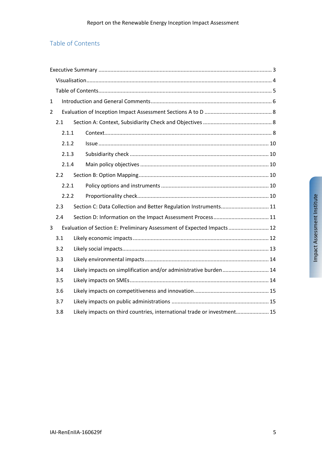# Table of Contents

| $\mathbf{1}$   |       |                                                                         |                                                                         |  |  |  |  |  |  |
|----------------|-------|-------------------------------------------------------------------------|-------------------------------------------------------------------------|--|--|--|--|--|--|
| $\overline{2}$ |       |                                                                         |                                                                         |  |  |  |  |  |  |
|                | 2.1   |                                                                         |                                                                         |  |  |  |  |  |  |
|                | 2.1.1 |                                                                         |                                                                         |  |  |  |  |  |  |
|                | 2.1.2 |                                                                         |                                                                         |  |  |  |  |  |  |
|                | 2.1.3 |                                                                         |                                                                         |  |  |  |  |  |  |
|                | 2.1.4 |                                                                         |                                                                         |  |  |  |  |  |  |
|                | 2.2   |                                                                         |                                                                         |  |  |  |  |  |  |
|                | 2.2.1 |                                                                         |                                                                         |  |  |  |  |  |  |
|                | 2.2.2 |                                                                         |                                                                         |  |  |  |  |  |  |
|                | 2.3   |                                                                         | Section C: Data Collection and Better Regulation Instruments 11         |  |  |  |  |  |  |
|                | 2.4   |                                                                         |                                                                         |  |  |  |  |  |  |
| 3              |       |                                                                         | Evaluation of Section E: Preliminary Assessment of Expected Impacts  12 |  |  |  |  |  |  |
|                | 3.1   |                                                                         |                                                                         |  |  |  |  |  |  |
|                | 3.2   |                                                                         |                                                                         |  |  |  |  |  |  |
|                | 3.3   |                                                                         |                                                                         |  |  |  |  |  |  |
|                | 3.4   |                                                                         | Likely impacts on simplification and/or administrative burden 14        |  |  |  |  |  |  |
|                | 3.5   |                                                                         |                                                                         |  |  |  |  |  |  |
|                | 3.6   |                                                                         |                                                                         |  |  |  |  |  |  |
|                | 3.7   |                                                                         |                                                                         |  |  |  |  |  |  |
|                | 3.8   | Likely impacts on third countries, international trade or investment 15 |                                                                         |  |  |  |  |  |  |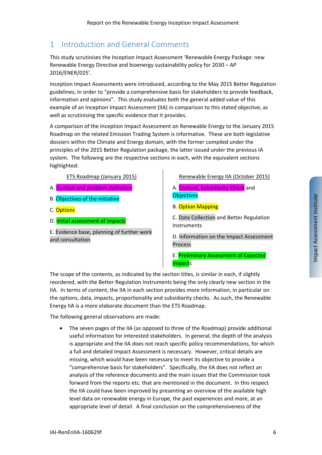# 1 Introduction and General Comments

This study scrutinises the Inception Impact Assessment 'Renewable Energy Package: new Renewable Energy Directive and bioenergy sustainability policy for 2030 – AP 2016/ENER/025'.

Inception Impact Assessments were introduced, according to the May 2015 Better Regulation guidelines, in order to "provide a comprehensive basis for stakeholders to provide feedback, information and opinions". This study evaluates both the general added value of this example of an Inception Impact Assessment (IIA) in comparison to this stated objective, as well as scrutinising the specific evidence that it provides.

A comparison of the Inception Impact Assessment on Renewable Energy to the January 2015 Roadmap on the related Emission Trading System is informative. These are both legislative dossiers within the Climate and Energy domain, with the former compiled under the principles of the 2015 Better Regulation package, the latter issued under the previous IA system. The following are the respective sections in each, with the equivalent sections highlighted:

ETS Roadmap (January 2015)

- A. Context and problem definition
- B. Objectives of the initiative
- C. Options
- D. Initial assessment of impacts

E. Evidence base, planning of further work and consultation

#### Renewable Energy IIA (October 2015)

#### A. Context, Subsidiarity Check and **Objectives**

B. Option Mapping

C. Data Collection and Better Regulation Instruments

D. Information on the Impact Assessment Process

E. Preliminary Assessment of Expected Impacts

The scope of the contents, as indicated by the section titles, is similar in each, if slightly reordered, with the Better Regulation Instruments being the only clearly new section in the IIA. In terms of content, the IIA in each section provides more information, in particular on the options, data, impacts, proportionality and subsidiarity checks. As such, the Renewable Energy IIA is a more elaborate document than the ETS Roadmap.

The following general observations are made:

 The seven pages of the IIA (as opposed to three of the Roadmap) provide additional useful information for interested stakeholders. In general, the depth of the analysis is appropriate and the IIA does not reach specific policy recommendations, for which a full and detailed Impact Assessment is necessary. However, critical details are missing, which would have been necessary to meet its objective to provide a "comprehensive basis for stakeholders". Specifically, the IIA does not reflect an analysis of the reference documents and the main issues that the Commission took forward from the reports etc. that are mentioned in the document. In this respect the IIA could have been improved by presenting an overview of the available high level data on renewable energy in Europe, the past experiences and more, at an appropriate level of detail. A final conclusion on the comprehensiveness of the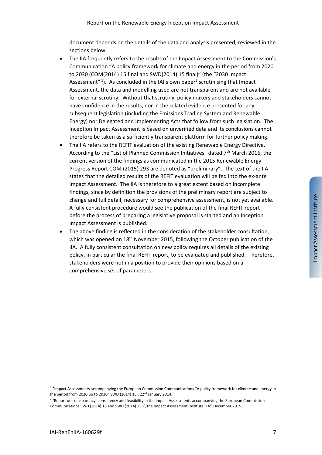document depends on the details of the data and analysis presented, reviewed in the sections below.

- The IIA frequently refers to the results of the Impact Assessment to the Commission's Communication "A policy framework for climate and energy in the period from 2020 to 2030 (COM(2014) 15 final and SWD(2014) 15 final)" (the "2030 Impact Assessment"<sup>1</sup>). As concluded in the IAI's own paper<sup>2</sup> scrutinising that Impact Assessment, the data and modelling used are not transparent and are not available for external scrutiny. Without that scrutiny, policy makers and stakeholders cannot have confidence in the results, nor in the related evidence presented for any subsequent legislation (including the Emissions Trading System and Renewable Energy) nor Delegated and Implementing Acts that follow from such legislation. The Inception Impact Assessment is based on unverified data and its conclusions cannot therefore be taken as a sufficiently transparent platform for further policy making.
- The IIA refers to the REFIT evaluation of the existing Renewable Energy Directive. According to the "List of Planned Commission Initiatives" dated  $7<sup>th</sup>$  March 2016, the current version of the findings as communicated in the 2015 Renewable Energy Progress Report COM (2015) 293 are denoted as "preliminary". The text of the IIA states that the detailed results of the REFIT evaluation will be fed into the ex‐ante Impact Assessment. The IIA is therefore to a great extent based on incomplete findings, since by definition the provisions of the preliminary report are subject to change and full detail, necessary for comprehensive assessment, is not yet available. A fully consistent procedure would see the publication of the final REFIT report before the process of preparing a legislative proposal is started and an Inception Impact Assessment is published.
- The above finding is reflected in the consideration of the stakeholder consultation, which was opened on 18<sup>th</sup> November 2015, following the October publication of the IIA. A fully consistent consultation on new policy requires all details of the existing policy, in particular the final REFIT report, to be evaluated and published. Therefore, stakeholders were not in a position to provide their opinions based on a comprehensive set of parameters.

<sup>&</sup>lt;sup>1</sup> 'Impact Assessments accompanying the European Commission Communications "A policy framework for climate and energy in the period from 2020 up to 2030" SWD (2014) 15', 22<sup>nd</sup> January 2014.

<sup>&</sup>lt;sup>2</sup> 'Report on transparency, consistency and feasibility in the Impact Assessments accompanying the European Commission Communications SWD (2014) 15 and SWD (2014) 255', the Impact Assessment Institute, 14th December 2015.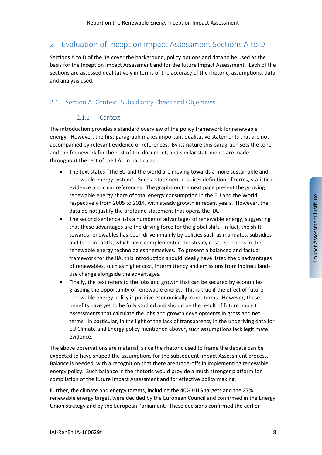# 2 Evaluation of Inception Impact Assessment Sections A to D

Sections A to D of the IIA cover the background, policy options and data to be used as the basis for the Inception Impact Assessment and for the future Impact Assessment. Each of the sections are assessed qualitatively in terms of the accuracy of the rhetoric, assumptions, data and analysis used.

## 2.1 Section A: Context, Subsidiarity Check and Objectives

#### 2.1.1 Context

The introduction provides a standard overview of the policy framework for renewable energy. However, the first paragraph makes important qualitative statements that are not accompanied by relevant evidence or references. By its nature this paragraph sets the tone and the framework for the rest of the document, and similar statements are made throughout the rest of the IIA. In particular:

- The text states "The EU and the world are moving towards a more sustainable and renewable energy system". Such a statement requires definition of terms, statistical evidence and clear references. The graphs on the next page present the growing renewable energy share of total energy consumption in the EU and the World respectively from 2005 to 2014, with steady growth in recent years. However, the data do not justify the profound statement that opens the IIA.
- The second sentence lists a number of advantages of renewable energy, suggesting that these advantages are the driving force for the global shift. In fact, the shift towards renewables has been driven mainly by policies such as mandates, subsidies and feed-in tariffs, which have complemented the steady cost reductions in the renewable energy technologies themselves. To present a balanced and factual framework for the IIA, this introduction should ideally have listed the disadvantages of renewables, such as higher cost, intermittency and emissions from indirect land‐ use change alongside the advantages.
- Finally, the text refers to the jobs and growth that can be secured by economies grasping the opportunity of renewable energy. This is true if the effect of future renewable energy policy is positive economically in net terms. However, these benefits have yet to be fully studied and should be the result of future Impact Assessments that calculate the jobs and growth developments in gross and net terms. In particular, in the light of the lack of transparency in the underlying data for EU Climate and Energy policy mentioned above<sup>2</sup>, such assumptions lack legitimate evidence.

The above observations are material, since the rhetoric used to frame the debate can be expected to have shaped the assumptions for the subsequent Impact Assessment process. Balance is needed, with a recognition that there are trade‐offs in implementing renewable energy policy. Such balance in the rhetoric would provide a much stronger platform for compilation of the future Impact Assessment and for effective policy making.

Further, the climate and energy targets, including the 40% GHG targets and the 27% renewable energy target, were decided by the European Council and confirmed in the Energy Union strategy and by the European Parliament. These decisions confirmed the earlier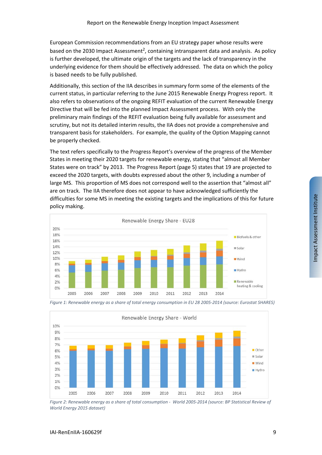European Commission recommendations from an EU strategy paper whose results were based on the 2030 Impact Assessment<sup>2</sup>, containing intransparent data and analysis. As policy is further developed, the ultimate origin of the targets and the lack of transparency in the underlying evidence for them should be effectively addressed. The data on which the policy is based needs to be fully published.

Additionally, this section of the IIA describes in summary form some of the elements of the current status, in particular referring to the June 2015 Renewable Energy Progress report. It also refers to observations of the ongoing REFIT evaluation of the current Renewable Energy Directive that will be fed into the planned Impact Assessment process. With only the preliminary main findings of the REFIT evaluation being fully available for assessment and scrutiny, but not its detailed interim results, the IIA does not provide a comprehensive and transparent basis for stakeholders. For example, the quality of the Option Mapping cannot be properly checked.

The text refers specifically to the Progress Report's overview of the progress of the Member States in meeting their 2020 targets for renewable energy, stating that "almost all Member States were on track" by 2013. The Progress Report (page 5) states that 19 are projected to exceed the 2020 targets, with doubts expressed about the other 9, including a number of large MS. This proportion of MS does not correspond well to the assertion that "almost all" are on track. The IIA therefore does not appear to have acknowledged sufficiently the difficulties for some MS in meeting the existing targets and the implications of this for future policy making.





*Figure 1: Renewable energy as a share of total energy consumption in EU 28 2005‐2014 (source: Eurostat SHARES)* 

*Figure 2: Renewable energy as a share of total consumption ‐ World 2005‐2014 (source: BP Statistical Review of World Energy 2015 dataset)*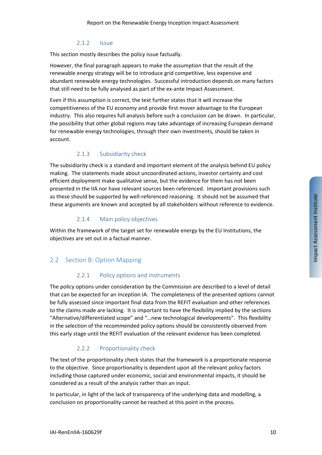#### 2.1.2 Issue

This section mostly describes the policy issue factually.

However, the final paragraph appears to make the assumption that the result of the renewable energy strategy will be to introduce grid competitive, less expensive and abundant renewable energy technologies. Successful introduction depends on many factors that still need to be fully analysed as part of the ex‐ante Impact Assessment.

Even if this assumption is correct, the text further states that it will increase the competitiveness of the EU economy and provide first mover advantage to the European industry. This also requires full analysis before such a conclusion can be drawn. In particular, the possibility that other global regions may take advantage of increasing European demand for renewable energy technologies, through their own investments, should be taken in account.

#### 2.1.3 Subsidiarity check

The subsidiarity check is a standard and important element of the analysis behind EU policy making. The statements made about uncoordinated actions, investor certainty and cost efficient deployment make qualitative sense, but the evidence for them has not been presented in the IIA nor have relevant sources been referenced. Important provisions such as these should be supported by well‐referenced reasoning. It should not be assumed that these arguments are known and accepted by all stakeholders without reference to evidence.

#### 2.1.4 Main policy objectives

Within the framework of the target set for renewable energy by the EU Institutions, the objectives are set out in a factual manner.

### 2.2 Section B: Option Mapping

#### 2.2.1 Policy options and instruments

The policy options under consideration by the Commission are described to a level of detail that can be expected for an Inception IA. The completeness of the presented options cannot be fully assessed since important final data from the REFIT evaluation and other references to the claims made are lacking. It is important to have the flexibility implied by the sections "Alternative/differentiated scope" and "…new technological developments". This flexibility in the selection of the recommended policy options should be consistently observed from this early stage until the REFIT evaluation of the relevant evidence has been completed.

#### 2.2.2 Proportionality check

The text of the proportionality check states that the framework is a proportionate response to the objective. Since proportionality is dependent upon all the relevant policy factors including those captured under economic, social and environmental impacts, it should be considered as a result of the analysis rather than an input.

In particular, in light of the lack of transparency of the underlying data and modelling, a conclusion on proportionality cannot be reached at this point in the process.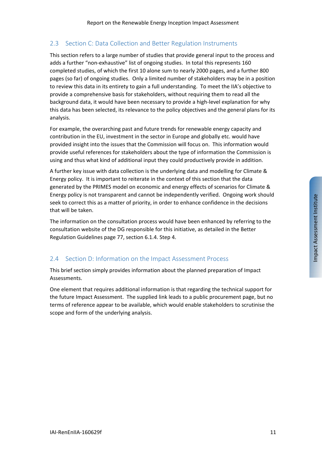## 2.3 Section C: Data Collection and Better Regulation Instruments

This section refers to a large number of studies that provide general input to the process and adds a further "non-exhaustive" list of ongoing studies. In total this represents 160 completed studies, of which the first 10 alone sum to nearly 2000 pages, and a further 800 pages (so far) of ongoing studies. Only a limited number of stakeholders may be in a position to review this data in its entirety to gain a full understanding. To meet the IIA's objective to provide a comprehensive basis for stakeholders, without requiring them to read all the background data, it would have been necessary to provide a high‐level explanation for why this data has been selected, its relevance to the policy objectives and the general plans for its analysis.

For example, the overarching past and future trends for renewable energy capacity and contribution in the EU, investment in the sector in Europe and globally etc. would have provided insight into the issues that the Commission will focus on. This information would provide useful references for stakeholders about the type of information the Commission is using and thus what kind of additional input they could productively provide in addition.

A further key issue with data collection is the underlying data and modelling for Climate & Energy policy. It is important to reiterate in the context of this section that the data generated by the PRIMES model on economic and energy effects of scenarios for Climate & Energy policy is not transparent and cannot be independently verified. Ongoing work should seek to correct this as a matter of priority, in order to enhance confidence in the decisions that will be taken.

The information on the consultation process would have been enhanced by referring to the consultation website of the DG responsible for this initiative, as detailed in the Better Regulation Guidelines page 77, section 6.1.4. Step 4.

### 2.4 Section D: Information on the Impact Assessment Process

This brief section simply provides information about the planned preparation of Impact Assessments.

One element that requires additional information is that regarding the technical support for the future Impact Assessment. The supplied link leads to a public procurement page, but no terms of reference appear to be available, which would enable stakeholders to scrutinise the scope and form of the underlying analysis.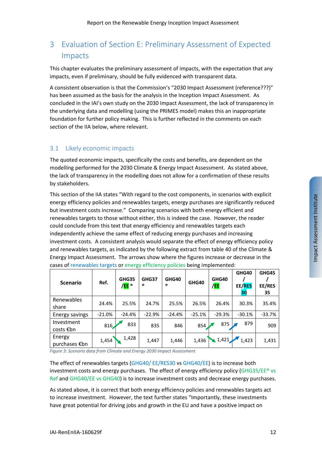# 3 Evaluation of Section E: Preliminary Assessment of Expected Impacts

This chapter evaluates the preliminary assessment of impacts, with the expectation that any impacts, even if preliminary, should be fully evidenced with transparent data.

A consistent observation is that the Commission's "2030 Impact Assessment (reference???)" has been assumed as the basis for the analysis in the Inception Impact Assessment. As concluded in the IAI's own study on the 2030 Impact Assessment, the lack of transparency in the underlying data and modelling (using the PRIMES model) makes this an inappropriate foundation for further policy making. This is further reflected in the comments on each section of the IIA below, where relevant.

## 3.1 Likely economic impacts

The quoted economic impacts, specifically the costs and benefits, are dependent on the modelling performed for the 2030 Climate & Energy Impact Assessment. As stated above, the lack of transparency in the modelling does not allow for a confirmation of these results by stakeholders.

This section of the IIA states "With regard to the cost components, in scenarios with explicit energy efficiency policies and renewables targets, energy purchases are significantly reduced but investment costs increase." Comparing scenarios with both energy efficient and renewables targets to those without either, this is indeed the case. However, the reader could conclude from this text that energy efficiency and renewables targets each independently achieve the same effect of reducing energy purchases and increasing investment costs. A consistent analysis would separate the effect of energy efficiency policy and renewables targets, as indicated by the following extract from table 40 of the Climate & Energy Impact Assessment. The arrows show where the figures increase or decrease in the cases of renewables targets or energy efficiency policies being implemented:

| <b>Scenario</b>         | Ref.     | GHG35<br>/ <mark>EE</mark> ® | GHG37<br>$^{\circ}$ | GHG40<br>® | GHG40    | GHG40<br>/ <mark>EE</mark> | GHG40<br>EE/RES<br>30 | GHG45<br>EE/RES<br>35 |
|-------------------------|----------|------------------------------|---------------------|------------|----------|----------------------------|-----------------------|-----------------------|
| Renewables<br>share     | 24.4%    | 25.5%                        | 24.7%               | 25.5%      | 26.5%    | 26.4%                      | 30.3%                 | 35.4%                 |
| Energy savings          | $-21.0%$ | $-24.4%$                     | $-22.9%$            | $-24.4%$   | $-25.1%$ | $-29.3%$                   | $-30.1%$              | $-33.7%$              |
| Investment<br>costs €bn | 816      | 833                          | 835                 | 846        | 854      | 875                        | 879                   | 909                   |
| Energy<br>purchases €bn | 1,454    | 1,428                        | 1,447               | 1,446      | 1,436    | $\triangle$ 1,421          | 1,423                 | 1,431                 |

*Figure 3: Scenario data from Climate and Energy 2030 Impact Assessment* 

The effect of renewables targets (GHG40/ EE/RES30 vs GHG40/EE) is to increase both investment costs and energy purchases. The effect of energy efficiency policy (GHG35/EE® vs Ref and GHG40/EE vs GHG40) is to increase investment costs and decrease energy purchases.

As stated above, it is correct that both energy efficiency policies and renewables targets act to increase investment. However, the text further states "Importantly, these investments have great potential for driving jobs and growth in the EU and have a positive impact on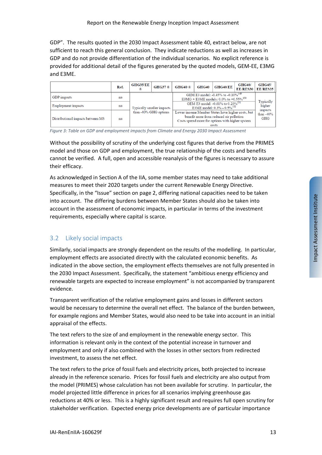GDP". The results quoted in the 2030 Impact Assessment table 40, extract below, are not sufficient to reach this general conclusion. They indicate reductions as well as increases in GDP and do not provide differentiation of the individual scenarios. No explicit reference is provided for additional detail of the figures generated by the quoted models, GEM‐EE, E3MG and E3ME.

|                                   | Ref. | <b>GHG35/EE</b>                                                                                                                                                                    | <b>GHG37</b> ®            | $GHG40$ <sup>®</sup>                                                                               | GHG40 | GHG40/EE            | <b>GHG40/</b><br>EE/RES30 | <b>GHG45/</b><br>EE/RES35      |
|-----------------------------------|------|------------------------------------------------------------------------------------------------------------------------------------------------------------------------------------|---------------------------|----------------------------------------------------------------------------------------------------|-------|---------------------|---------------------------|--------------------------------|
| <b>GDP</b> impacts                | na   |                                                                                                                                                                                    |                           | GEM E3 model: -0.45% to -0.10% <sup>149</sup><br>E3MG + E3ME models: 0.0% to +0.55% <sup>150</sup> |       |                     |                           | Typically<br>higher<br>impacts |
| <b>Employment</b> impacts         | na   |                                                                                                                                                                                    | Typically smaller impacts | GEM E3 model: -0.61% to 0.20% <sup>151</sup><br>E3ME model: $0.3\%$ - $0.5\%$ <sup>152</sup>       |       |                     |                           |                                |
| Distributional impacts between MS | na   | Lower income Member States have higher costs, but<br>than -40% GHG options<br>benefit more from reduced air pollution<br>Costs spread more for options with higher system<br>costs |                           |                                                                                                    |       | than $-40\%$<br>GHG |                           |                                |

*Figure 3: Table on GDP and employment impacts from Climate and Energy 2030 Impact Assessment* 

Without the possibility of scrutiny of the underlying cost figures that derive from the PRIMES model and those on GDP and employment, the true relationship of the costs and benefits cannot be verified. A full, open and accessible reanalysis of the figures is necessary to assure their efficacy.

As acknowledged in Section A of the IIA, some member states may need to take additional measures to meet their 2020 targets under the current Renewable Energy Directive. Specifically, in the "Issue" section on page 2, differing national capacities need to be taken into account. The differing burdens between Member States should also be taken into account in the assessment of economic impacts, in particular in terms of the investment requirements, especially where capital is scarce.

## 3.2 Likely social impacts

Similarly, social impacts are strongly dependent on the results of the modelling. In particular, employment effects are associated directly with the calculated economic benefits. As indicated in the above section, the employment effects themselves are not fully presented in the 2030 Impact Assessment. Specifically, the statement "ambitious energy efficiency and renewable targets are expected to increase employment" is not accompanied by transparent evidence.

Transparent verification of the relative employment gains and losses in different sectors would be necessary to determine the overall net effect. The balance of the burden between, for example regions and Member States, would also need to be take into account in an initial appraisal of the effects.

The text refers to the size of and employment in the renewable energy sector. This information is relevant only in the context of the potential increase in turnover and employment and only if also combined with the losses in other sectors from redirected investment, to assess the net effect.

The text refers to the price of fossil fuels and electricity prices, both projected to increase already in the reference scenario. Prices for fossil fuels and electricity are also output from the model (PRIMES) whose calculation has not been available for scrutiny. In particular, the model projected little difference in prices for all scenarios implying greenhouse gas reductions at 40% or less. This is a highly significant result and requires full open scrutiny for stakeholder verification. Expected energy price developments are of particular importance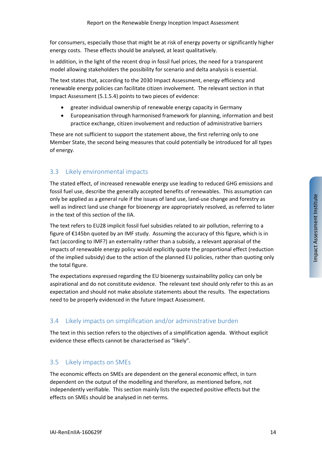for consumers, especially those that might be at risk of energy poverty or significantly higher energy costs. These effects should be analysed, at least qualitatively.

In addition, in the light of the recent drop in fossil fuel prices, the need for a transparent model allowing stakeholders the possibility for scenario and delta analysis is essential.

The text states that, according to the 2030 Impact Assessment, energy efficiency and renewable energy policies can facilitate citizen involvement. The relevant section in that Impact Assessment (5.1.5.4) points to two pieces of evidence:

- greater individual ownership of renewable energy capacity in Germany
- Europeanisation through harmonised framework for planning, information and best practice exchange, citizen involvement and reduction of administrative barriers

These are not sufficient to support the statement above, the first referring only to one Member State, the second being measures that could potentially be introduced for all types of energy.

#### 3.3 Likely environmental impacts

The stated effect, of increased renewable energy use leading to reduced GHG emissions and fossil fuel use, describe the generally accepted benefits of renewables. This assumption can only be applied as a general rule if the issues of land use, land‐use change and forestry as well as indirect land use change for bioenergy are appropriately resolved, as referred to later in the text of this section of the IIA.

The text refers to EU28 implicit fossil fuel subsidies related to air pollution, referring to a figure of €145bn quoted by an IMF study. Assuming the accuracy of this figure, which is in fact (according to IMF?) an externality rather than a subsidy, a relevant appraisal of the impacts of renewable energy policy would explicitly quote the proportional effect (reduction of the implied subsidy) due to the action of the planned EU policies, rather than quoting only the total figure.

The expectations expressed regarding the EU bioenergy sustainability policy can only be aspirational and do not constitute evidence. The relevant text should only refer to this as an expectation and should not make absolute statements about the results. The expectations need to be properly evidenced in the future Impact Assessment.

### 3.4 Likely impacts on simplification and/or administrative burden

The text in this section refers to the objectives of a simplification agenda. Without explicit evidence these effects cannot be characterised as "likely".

#### 3.5 Likely impacts on SMEs

The economic effects on SMEs are dependent on the general economic effect, in turn dependent on the output of the modelling and therefore, as mentioned before, not independently verifiable. This section mainly lists the expected positive effects but the effects on SMEs should be analysed in net-terms.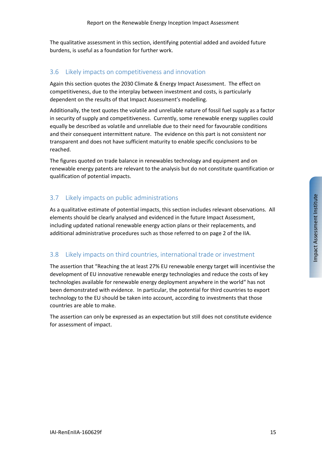The qualitative assessment in this section, identifying potential added and avoided future burdens, is useful as a foundation for further work.

#### 3.6 Likely impacts on competitiveness and innovation

Again this section quotes the 2030 Climate & Energy Impact Assessment. The effect on competitiveness, due to the interplay between investment and costs, is particularly dependent on the results of that Impact Assessment's modelling.

Additionally, the text quotes the volatile and unreliable nature of fossil fuel supply as a factor in security of supply and competitiveness. Currently, some renewable energy supplies could equally be described as volatile and unreliable due to their need for favourable conditions and their consequent intermittent nature. The evidence on this part is not consistent nor transparent and does not have sufficient maturity to enable specific conclusions to be reached.

The figures quoted on trade balance in renewables technology and equipment and on renewable energy patents are relevant to the analysis but do not constitute quantification or qualification of potential impacts.

## 3.7 Likely impacts on public administrations

As a qualitative estimate of potential impacts, this section includes relevant observations. All elements should be clearly analysed and evidenced in the future Impact Assessment, including updated national renewable energy action plans or their replacements, and additional administrative procedures such as those referred to on page 2 of the IIA.

### 3.8 Likely impacts on third countries, international trade or investment

The assertion that "Reaching the at least 27% EU renewable energy target will incentivise the development of EU innovative renewable energy technologies and reduce the costs of key technologies available for renewable energy deployment anywhere in the world" has not been demonstrated with evidence. In particular, the potential for third countries to export technology to the EU should be taken into account, according to investments that those countries are able to make.

The assertion can only be expressed as an expectation but still does not constitute evidence for assessment of impact.